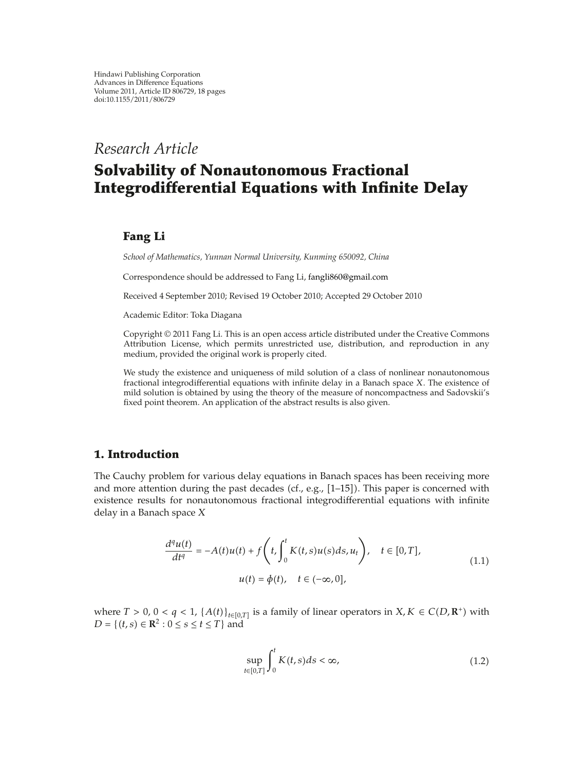*Research Article*

# **Solvability of Nonautonomous Fractional Integrodifferential Equations with Infinite Delay**

## **Fang Li**

*School of Mathematics, Yunnan Normal University, Kunming 650092, China*

Correspondence should be addressed to Fang Li, fangli860@gmail.com

Received 4 September 2010; Revised 19 October 2010; Accepted 29 October 2010

Academic Editor: Toka Diagana

Copyright © 2011 Fang Li. This is an open access article distributed under the Creative Commons Attribution License, which permits unrestricted use, distribution, and reproduction in any medium, provided the original work is properly cited.

We study the existence and uniqueness of mild solution of a class of nonlinear nonautonomous fractional integrodifferential equations with infinite delay in a Banach space *X*. The existence of mild solution is obtained by using the theory of the measure of noncompactness and Sadovskii's fixed point theorem. An application of the abstract results is also given.

#### **1. Introduction**

The Cauchy problem for various delay equations in Banach spaces has been receiving more and more attention during the past decades (cf., e.g.,  $[1-15]$ ). This paper is concerned with existence results for nonautonomous fractional integrodifferential equations with infinite delay in a Banach space *X*

$$
\frac{d^q u(t)}{dt^q} = -A(t)u(t) + f\left(t, \int_0^t K(t, s)u(s)ds, u_t\right), \quad t \in [0, T],
$$
  

$$
u(t) = \phi(t), \quad t \in (-\infty, 0],
$$
 (1.1)

where  $T > 0$ ,  $0 < q < 1$ ,  $\{A(t)\}_{t \in [0,T]}$  is a family of linear operators in  $X, K \in C(D, \mathbb{R}^+)$  with  $D = \{(t, s) \in \mathbb{R}^2 : 0 \le s \le t \le T\}$  and

$$
\sup_{t\in[0,T]}\int_0^t K(t,s)ds < \infty,
$$
\n(1.2)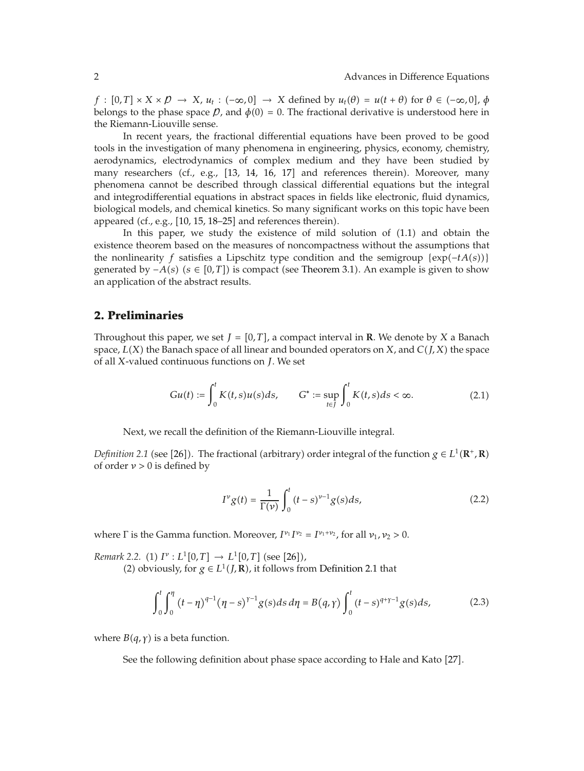*f* :  $[0, T] \times X \times \mathcal{D} \rightarrow X$ ,  $u_t$  :  $(-\infty, 0] \rightarrow X$  defined by  $u_t(\theta) = u(t + \theta)$  for  $\theta \in (-\infty, 0]$ ,  $\phi$ belongs to the phase space  $\beta$ , and  $\phi(0) = 0$ . The fractional derivative is understood here in the Riemann-Liouville sense.

In recent years, the fractional differential equations have been proved to be good tools in the investigation of many phenomena in engineering, physics, economy, chemistry, aerodynamics, electrodynamics of complex medium and they have been studied by many researchers (cf., e.g., [13, 14, 16, 17] and references therein). Moreover, many phenomena cannot be described through classical differential equations but the integral and integrodifferential equations in abstract spaces in fields like electronic, fluid dynamics, biological models, and chemical kinetics. So many significant works on this topic have been appeared (cf., e.g.,  $[10, 15, 18-25]$  and references therein).

In this paper, we study the existence of mild solution of (1.1) and obtain the existence theorem based on the measures of noncompactness without the assumptions that the nonlinearity *f* satisfies a Lipschitz type condition and the semigroup  $\{exp(-tA(s))\}$ generated by  $-A(s)$  ( $s \in [0, T]$ ) is compact (see Theorem 3.1). An example is given to show an application of the abstract results.

#### **2. Preliminaries**

Throughout this paper, we set  $J = [0, T]$ , a compact interval in **R**. We denote by *X* a Banach space,  $L(X)$  the Banach space of all linear and bounded operators on *X*, and  $C(J, X)$  the space of all *X*-valued continuous functions on *J*. We set

$$
Gu(t) := \int_0^t K(t,s)u(s)ds, \qquad G^* := \sup_{t \in J} \int_0^t K(t,s)ds < \infty.
$$
 (2.1)

Next, we recall the definition of the Riemann-Liouville integral.

*Definition 2.1* (see [26]). The fractional (arbitrary) order integral of the function  $g \in L^1(\mathbb{R}^+, \mathbb{R})$ of order *ν >* 0 is defined by

$$
I^{\nu}g(t) = \frac{1}{\Gamma(\nu)} \int_0^t (t-s)^{\nu-1} g(s) ds,
$$
 (2.2)

where  $\Gamma$  is the Gamma function. Moreover,  $I^{\nu_1}I^{\nu_2} = I^{\nu_1+\nu_2}$ , for all  $\nu_1, \nu_2 > 0$ .

*Remark 2.2.* (1)  $I^{\nu}: L^1[0,T] \to L^1[0,T]$  (see [26]), (2) obviously, for  $g \in L^1(J, \mathbb{R})$ , it follows from Definition 2.1 that

$$
\int_0^t \int_0^{\eta} (t - \eta)^{q-1} (\eta - s)^{\gamma - 1} g(s) ds d\eta = B(q, \gamma) \int_0^t (t - s)^{q + \gamma - 1} g(s) ds,
$$
 (2.3)

where  $B(q, \gamma)$  is a beta function.

See the following definition about phase space according to Hale and Kato [27].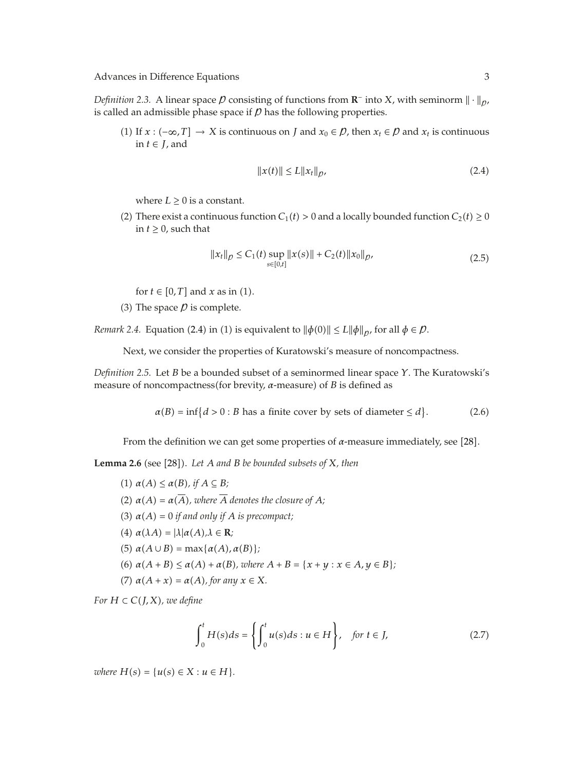*Definition 2.3.* A linear space  $\beta$  consisting of functions from **R**<sup>−</sup> into *X*, with seminorm  $\|\cdot\|_{\rho}$ , is called an admissible phase space if  *has the following properties.* 

(1) If *x* :  $(-\infty, T]$  → *X* is continuous on *J* and *x*<sub>0</sub> ∈ *P*, then *x*<sub>t</sub> ∈ *P* and *x*<sub>t</sub> is continuous in *t* ∈ *J*, and

$$
||x(t)|| \le L||x_t||_p, \tag{2.4}
$$

where  $L \geq 0$  is a constant.

(2) There exist a continuous function  $C_1(t) > 0$  and a locally bounded function  $C_2(t) \ge 0$ in  $t \geq 0$ , such that

$$
||x_t||_p \le C_1(t) \sup_{s \in [0,t]} ||x(s)|| + C_2(t) ||x_0||_p, \tag{2.5}
$$

for  $t \in [0, T]$  and  $x$  as in (1).

(3) The space  *is complete.* 

*Remark 2.4.* Equation (2.4) in (1) is equivalent to  $\|\phi(0)\| \le L \|\phi\|_{p}$ , for all  $\phi \in \mathcal{D}$ .

Next, we consider the properties of Kuratowski's measure of noncompactness.

*Definition 2.5.* Let *B* be a bounded subset of a seminormed linear space *Y*. The Kuratowski's measure of noncompactness(for brevity, *α*-measure) of *B* is defined as

$$
\alpha(B) = \inf\{d > 0 : B \text{ has a finite cover by sets of diameter} \le d\}. \tag{2.6}
$$

From the definition we can get some properties of *α*-measure immediately, see [28].

**Lemma 2.6** (see [28]). Let A and B be bounded subsets of X, then

\n- (1) 
$$
\alpha(A) \leq \alpha(B)
$$
, if  $A \subseteq B$ ;
\n- (2)  $\alpha(A) = \alpha(\overline{A})$ , where  $\overline{A}$  denotes the closure of  $A$ ;
\n- (3)  $\alpha(A) = 0$  if and only if  $A$  is precompact;
\n- (4)  $\alpha(\lambda A) = |\lambda|\alpha(A), \lambda \in \mathbb{R}$ ;
\n- (5)  $\alpha(A \cup B) = \max\{\alpha(A), \alpha(B)\}$ ;
\n- (6)  $\alpha(A + B) \leq \alpha(A) + \alpha(B)$ , where  $A + B = \{x + y : x \in A, y \in B\}$ ;
\n- (7)  $\alpha(A + x) = \alpha(A)$ , for any  $x \in X$ .
\n

*For*  $H \subset C(J, X)$ *, we define* 

$$
\int_0^t H(s)ds = \left\{ \int_0^t u(s)ds : u \in H \right\}, \quad \text{for } t \in J,
$$
 (2.7)

*where*  $H(s) = \{u(s) \in X : u \in H\}.$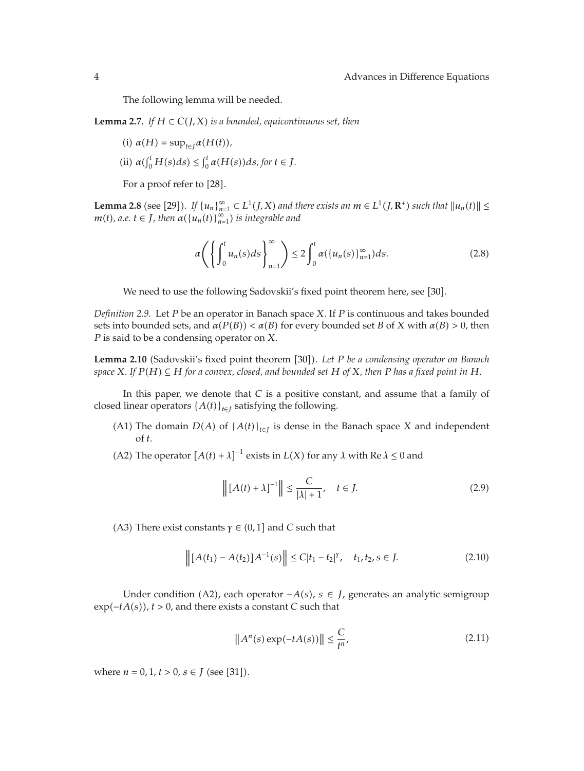The following lemma will be needed.

**Lemma 2.7.** *If*  $H \subset C(J,X)$  *is a bounded, equicontinuous set, then* 

(i) 
$$
\alpha(H) = \sup_{t \in J} \alpha(H(t)),
$$

(ii)  $\alpha(\int_0^t H(s)ds) \le \int_0^t \alpha(H(s))ds$ , for  $t \in J$ .

For a proof refer to [28].

**Lemma 2.8** (see [29]). *If*  $\{u_n\}_{n=1}^{\infty} \subset L^1(J,X)$  and there exists an  $m \in L^1(J,\mathbb{R}^+)$  such that  $||u_n(t)|| \le$ *m*(*t*), a.e. *t* ∈ *J*, *then*  $\alpha({u_n(t)}_{n=1}^{\infty})$  *is integrable and* 

$$
\alpha \left( \left\{ \int_0^t u_n(s) ds \right\}_{n=1}^\infty \right) \le 2 \int_0^t \alpha(\{u_n(s)\}_{n=1}^\infty) ds. \tag{2.8}
$$

We need to use the following Sadovskii's fixed point theorem here, see [30].

*Definition 2.9.* Let *P* be an operator in Banach space *X*. If *P* is continuous and takes bounded sets into bounded sets, and  $\alpha(P(B)) < \alpha(B)$  for every bounded set *B* of *X* with  $\alpha(B) > 0$ , then *P* is said to be a condensing operator on *X*.

**Lemma 2.10** (Sadovskii's fixed point theorem [30]). Let *P* be a condensing operator on Banach *space*  $X$ *. If*  $P(H) \subseteq H$  *for a convex, closed, and bounded set*  $H$  *of*  $X$ *, then*  $P$  *has a fixed point in*  $H$ *.* 

In this paper, we denote that *C* is a positive constant, and assume that a family of closed linear operators  ${A(t)}_{t \in I}$  satisfying the following.

- (A1) The domain  $D(A)$  of  $\{A(t)\}_{t \in I}$  is dense in the Banach space *X* and independent of *t*.
- (A2) The operator  $[A(t) + \lambda]^{-1}$  exists in  $L(X)$  for any  $\lambda$  with Re  $\lambda \le 0$  and

$$
\left\| \left[A(t) + \lambda\right]^{-1} \right\| \le \frac{C}{|\lambda| + 1}, \quad t \in J. \tag{2.9}
$$

(A3) There exist constants  $\gamma \in (0,1]$  and *C* such that

$$
\left\| [A(t_1) - A(t_2)] A^{-1}(s) \right\| \le C|t_1 - t_2|^{\gamma}, \quad t_1, t_2, s \in J. \tag{2.10}
$$

Under condition A2, each operator −*As*, *s* ∈ *J*, generates an analytic semigroup exp−*tAs*, *t >* 0, and there exists a constant *C* such that

$$
\left\|A^n(s)\exp(-tA(s))\right\| \le \frac{C}{t^n},\tag{2.11}
$$

where  $n = 0, 1, t > 0, s \in J$  (see [31]).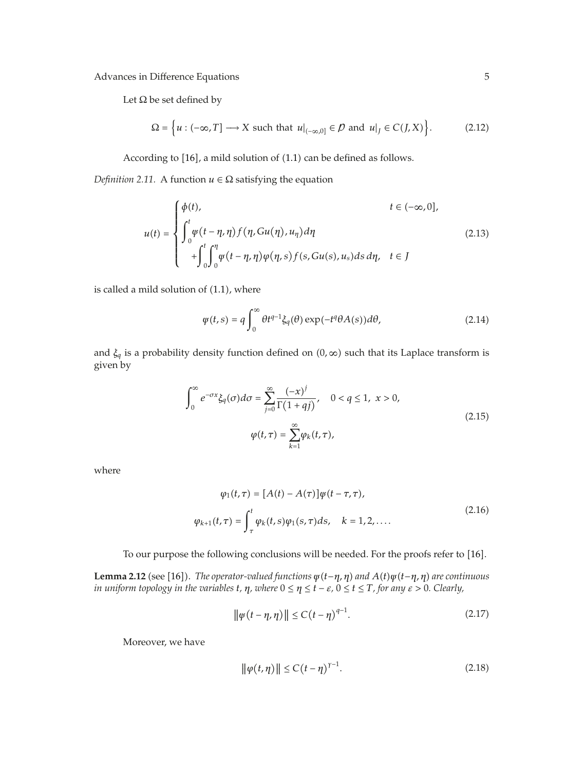Let  $\Omega$  be set defined by

$$
\Omega = \left\{ u : (-\infty, T] \longrightarrow X \text{ such that } u|_{(-\infty, 0]} \in \mathcal{D} \text{ and } u|_J \in C(J, X) \right\}.
$$
 (2.12)

According to  $[16]$ , a mild solution of  $(1.1)$  can be defined as follows.

*Definition 2.11.* A function  $u \in \Omega$  satisfying the equation

$$
u(t) = \begin{cases} \phi(t), & t \in (-\infty, 0], \\ \int_0^t \psi(t - \eta, \eta) f(\eta, Gu(\eta), u_\eta) d\eta \\ + \int_0^t \int_0^\eta \psi(t - \eta, \eta) \varphi(\eta, s) f(s, Gu(s), u_s) ds d\eta, & t \in J \end{cases}
$$
(2.13)

is called a mild solution of  $(1.1)$ , where

$$
\psi(t,s) = q \int_0^\infty \theta t^{q-1} \xi_q(\theta) \exp(-t^q \theta A(s)) d\theta,
$$
\n(2.14)

and  $\xi_q$  is a probability density function defined on  $(0, \infty)$  such that its Laplace transform is given by

$$
\int_0^\infty e^{-\sigma x} \xi_q(\sigma) d\sigma = \sum_{j=0}^\infty \frac{(-x)^j}{\Gamma(1+qj)}, \quad 0 < q \le 1, \ x > 0,
$$
\n
$$
\varphi(t, \tau) = \sum_{k=1}^\infty \varphi_k(t, \tau), \tag{2.15}
$$

where

$$
\varphi_1(t, \tau) = [A(t) - A(\tau)]\psi(t - \tau, \tau),
$$
  

$$
\varphi_{k+1}(t, \tau) = \int_{\tau}^{t} \varphi_k(t, s)\varphi_1(s, \tau)ds, \quad k = 1, 2, ....
$$
\n(2.16)

To our purpose the following conclusions will be needed. For the proofs refer to [16].

**Lemma 2.12** (see [16]). *The operator-valued functions*  $\psi(t-\eta,\eta)$  *and*  $A(t)\psi(t-\eta,\eta)$  *are continuous in uniform topology in the variables*  $t$ *,*  $\eta$ *, where*  $0 \leq \eta \leq t - \varepsilon$ ,  $0 \leq t \leq T$ , for any  $\varepsilon > 0$ . Clearly,

$$
\|\varphi(t-\eta,\eta)\| \le C\left(t-\eta\right)^{q-1}.\tag{2.17}
$$

Moreover, we have

$$
\|\varphi(t,\eta)\| \le C(t-\eta)^{\gamma-1}.
$$
 (2.18)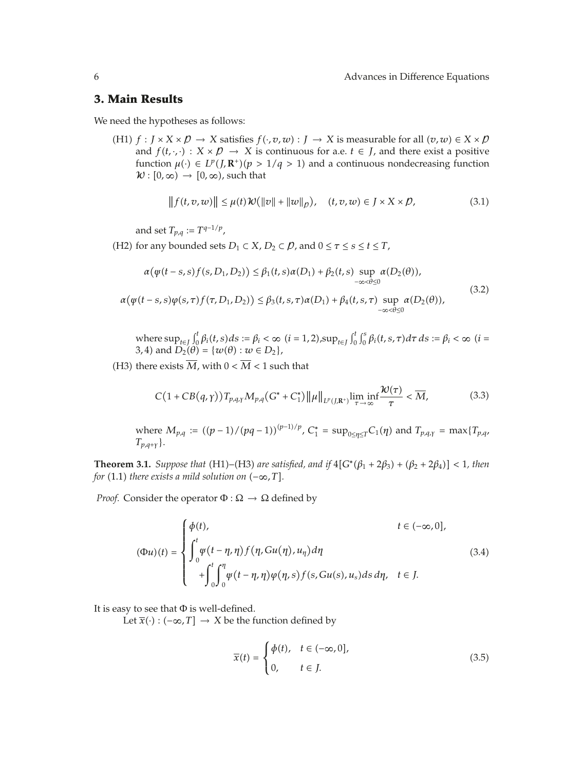## **3. Main Results**

We need the hypotheses as follows:

(H1)  $f : J \times X \times D \to X$  satisfies  $f(\cdot, v, w) : J \to X$  is measurable for all  $(v, w) \in X \times D$ and  $f(t, \cdot, \cdot) : X \times \mathcal{D} \to X$  is continuous for a.e.  $t \in J$ , and there exist a positive function  $\mu(\cdot) \in L^p(J, \mathbb{R}^+)(p > 1/q > 1)$  and a continuous nondecreasing function  $\mathcal{W} : [0, \infty) \rightarrow [0, \infty)$ , such that

$$
|| f(t, v, w)|| \leq \mu(t) \mathcal{W}(|v| + ||w||_{\rho}), \quad (t, v, w) \in J \times X \times \mathcal{D}, \tag{3.1}
$$

and set  $T_{p,q} := T^{q-1/p}$ ,

(H2) for any bounded sets  $D_1 \subset X$ ,  $D_2 \subset \mathcal{D}$ , and  $0 \leq \tau \leq s \leq t \leq T$ ,

$$
\alpha(\psi(t-s,s)f(s,D_1,D_2)) \leq \beta_1(t,s)\alpha(D_1) + \beta_2(t,s) \sup_{-\infty < \theta \leq 0} \alpha(D_2(\theta)),
$$
\n
$$
\alpha(\psi(t-s,s)\varphi(s,\tau)f(\tau,D_1,D_2)) \leq \beta_3(t,s,\tau)\alpha(D_1) + \beta_4(t,s,\tau) \sup_{-\infty < \theta \leq 0} \alpha(D_2(\theta)),
$$
\n
$$
(3.2)
$$

where  $\sup_{t \in J} \int_0^t \beta_i(t, s) ds := \beta_i < \infty$  *(i = 1, 2)*,  $\sup_{t \in J} \int_0^t \int_0^s \beta_i(t, s, \tau) d\tau ds := \beta_i < \infty$  *(i = 0.1)* 3, 4) and  $D_2(\theta) = \{w(\theta) : w \in D_2\},\$ 

(H3) there exists  $\overline{M}$ , with  $0 < \overline{M} < 1$  such that

$$
C\big(1+CB(q,\gamma)\big)T_{p,q,\gamma}M_{p,q}\big(G^*+C_1^*\big)\|\mu\|_{L^p(J,\mathbf{R}^+)}\liminf_{\tau\to\infty}\frac{\mathcal{W}(\tau)}{\tau}<\overline{M},
$$
\n(3.3)

where  $M_{p,q} := ((p-1)/(pq-1))^{(p-1)/p}$ ,  $C_1^* = \sup_{0 \le \eta \le T} C_1(\eta)$  and  $T_{p,q,\gamma} = \max\{T_{p,q,\gamma}\}$  $T_{p,q+\gamma}$ .

**Theorem 3.1.** *Suppose that* (H1)–(H3) *are satisfied, and if*  $4[G^{*}(\beta_{1} + 2\beta_{3}) + (\beta_{2} + 2\beta_{4})] < 1$ *, then for* (1.1) *there exists a mild solution on*  $(-\infty, T]$ *.* 

*Proof.* Consider the operator  $\Phi : \Omega \to \Omega$  defined by

$$
(\Phi u)(t) = \begin{cases} \phi(t), & t \in (-\infty, 0], \\ \int_0^t \psi(t - \eta, \eta) f(\eta, Gu(\eta), u_\eta) d\eta \\ + \int_0^t \int_0^\eta \psi(t - \eta, \eta) \varphi(\eta, s) f(s, Gu(s), u_s) ds d\eta, & t \in J. \end{cases}
$$
(3.4)

It is easy to see that  $\Phi$  is well-defined.

Let  $\overline{x}(\cdot)$  :  $(-\infty, T]$  → *X* be the function defined by

$$
\overline{x}(t) = \begin{cases} \phi(t), & t \in (-\infty, 0], \\ 0, & t \in J. \end{cases}
$$
\n(3.5)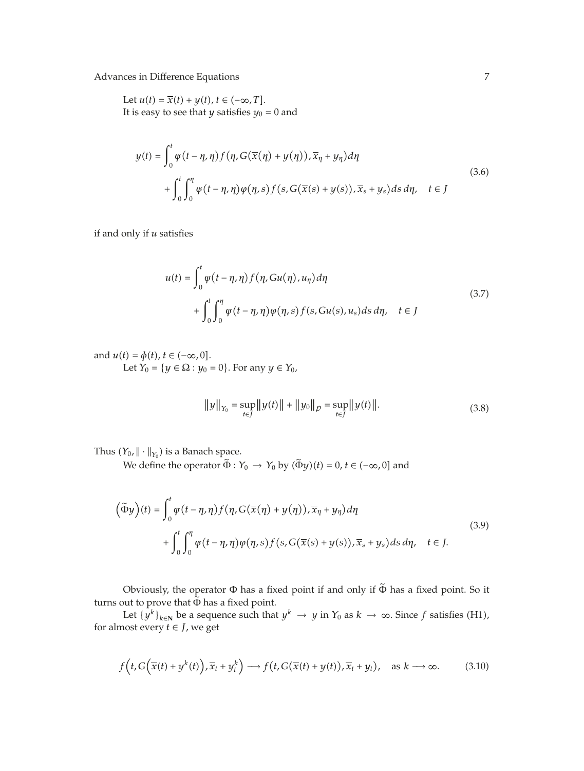Let  $u(t) = \overline{x}(t) + y(t), t \in (-\infty, T].$ It is easy to see that *y* satisfies  $y_0 = 0$  and

$$
y(t) = \int_0^t \psi(t - \eta, \eta) f(\eta, G(\overline{x}(\eta) + y(\eta)), \overline{x}_{\eta} + y_{\eta}) d\eta
$$
  
+ 
$$
\int_0^t \int_0^{\eta} \psi(t - \eta, \eta) \psi(\eta, s) f(s, G(\overline{x}(s) + y(s)), \overline{x}_s + y_s) ds d\eta, \quad t \in J
$$
 (3.6)

if and only if *u* satisfies

$$
u(t) = \int_0^t \psi(t - \eta, \eta) f(\eta, Gu(\eta), u_\eta) d\eta
$$
  
+ 
$$
\int_0^t \int_0^\eta \psi(t - \eta, \eta) \varphi(\eta, s) f(s, Gu(s), u_s) ds d\eta, \quad t \in J
$$
 (3.7)

and  $u(t) = \phi(t)$ ,  $t \in (-\infty, 0]$ . Let *Y*<sup>0</sup> = {*y* ∈ Ω : *y*<sup>0</sup> = 0}. For any *y* ∈ *Y*<sup>0</sup>,

$$
||y||_{Y_0} = \sup_{t \in J} ||y(t)|| + ||y_0||_p = \sup_{t \in J} ||y(t)||. \tag{3.8}
$$

Thus  $(Y_0, \|\cdot\|_{Y_0})$  is a Banach space.

We define the operator  $\tilde{\Phi}: Y_0 \to Y_0$  by  $(\tilde{\Phi}y)(t) = 0, t \in (-\infty, 0]$  and

$$
\left(\tilde{\Phi}y\right)(t) = \int_0^t \varphi(t - \eta, \eta) f(\eta, G(\overline{x}(\eta) + y(\eta)), \overline{x}_{\eta} + y_{\eta}) d\eta
$$
  
+ 
$$
\int_0^t \int_0^{\eta} \varphi(t - \eta, \eta) \varphi(\eta, s) f(s, G(\overline{x}(s) + y(s)), \overline{x}_s + y_s) ds d\eta, \quad t \in J.
$$
 (3.9)

Obviously, the operator <sup>Φ</sup> has a fixed point if and only if <sup>Φ</sup> has a fixed point. So it turns out to prove that  $\tilde{\Phi}$  has a fixed point.

Let  $\{y^k\}_{k\in \mathbb{N}}$  be a sequence such that  $y^k \to y$  in  $Y_0$  as  $k \to \infty$ . Since  $f$  satisfies (H1), for almost every *t* ∈ *J*, we get

$$
f\left(t, G\left(\overline{x}(t) + y^k(t)\right), \overline{x}_t + y_t^k\right) \longrightarrow f\left(t, G(\overline{x}(t) + y(t)), \overline{x}_t + y_t\right), \text{ as } k \longrightarrow \infty. \tag{3.10}
$$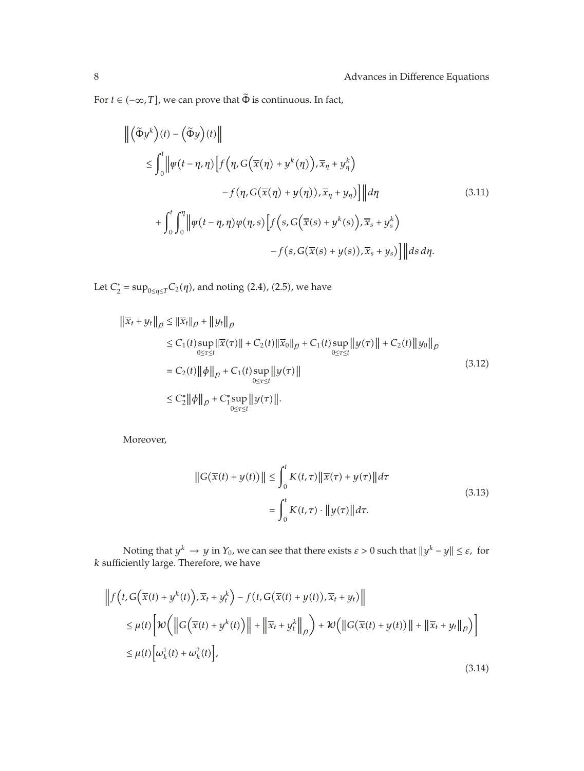For  $t\in (-\infty,T],$  we can prove that  $\tilde{\Phi}$  is continuous. In fact,

$$
\begin{aligned} \left\| \left( \tilde{\Phi} y^{k} \right) (t) - \left( \tilde{\Phi} y \right) (t) \right\| \\ &\leq \int_{0}^{t} \left\| \varphi \left( t - \eta, \eta \right) \left[ f \left( \eta, G \left( \overline{x} (\eta) + y^{k} (\eta) \right), \overline{x}_{\eta} + y^{k}_{\eta} \right) \right. \\ &\left. \quad - f \left( \eta, G \left( \overline{x} (\eta) + y (\eta) \right), \overline{x}_{\eta} + y_{\eta} \right) \right] \right\| d\eta \\ &\quad + \int_{0}^{t} \int_{0}^{\eta} \left\| \varphi \left( t - \eta, \eta \right) \varphi (\eta, s) \left[ f \left( s, G \left( \overline{x} (s) + y^{k} (s) \right), \overline{x}_{s} + y^{k}_{s} \right) \right. \\ &\left. \quad - f \left( s, G \left( \overline{x} (s) + y (s) \right), \overline{x}_{s} + y_{s} \right) \right] \right\| ds \, d\eta. \end{aligned} \tag{3.11}
$$

Let  $C_2^* = \sup_{0 \le \eta \le T} C_2(\eta)$ , and noting (2.4), (2.5), we have

$$
\|\overline{x}_{t} + y_{t}\|_{p} \leq \|\overline{x}_{t}\|_{p} + \|y_{t}\|_{p}
$$
\n
$$
\leq C_{1}(t) \sup_{0 \leq \tau \leq t} \|\overline{x}(\tau)\| + C_{2}(t) \|\overline{x}_{0}\|_{p} + C_{1}(t) \sup_{0 \leq \tau \leq t} \|y(\tau)\| + C_{2}(t) \|y_{0}\|_{p}
$$
\n
$$
= C_{2}(t) \|\phi\|_{p} + C_{1}(t) \sup_{0 \leq \tau \leq t} \|y(\tau)\|
$$
\n
$$
\leq C_{2}^{*} \|\phi\|_{p} + C_{1}^{*} \sup_{0 \leq \tau \leq t} \|y(\tau)\|.
$$
\n(3.12)

Moreover,

$$
\|G(\overline{x}(t) + y(t))\| \le \int_0^t K(t, \tau) \|\overline{x}(\tau) + y(\tau)\| d\tau
$$
  

$$
= \int_0^t K(t, \tau) \cdot \|y(\tau)\| d\tau.
$$
 (3.13)

Noting that  $y^k \to y$  in  $Y_0$ , we can see that there exists  $\varepsilon > 0$  such that  $||y^k - y|| \le \varepsilon$ , for *k* sufficiently large. Therefore, we have

$$
\left\|f(t, G(\overline{x}(t) + y^k(t)), \overline{x}_t + y_t^k) - f(t, G(\overline{x}(t) + y(t)), \overline{x}_t + y_t)\right\|
$$
  
\n
$$
\leq \mu(t) \left[ \mathcal{W}\left( \left\| G(\overline{x}(t) + y^k(t)) \right\| + \left\| \overline{x}_t + y_t^k \right\|_{\rho} \right) + \mathcal{W}\left( \left\| G(\overline{x}(t) + y(t)) \right\| + \left\| \overline{x}_t + y_t \right\|_{\rho} \right) \right]
$$
  
\n
$$
\leq \mu(t) \left[ \omega_k^1(t) + \omega_k^2(t) \right],
$$
\n(3.14)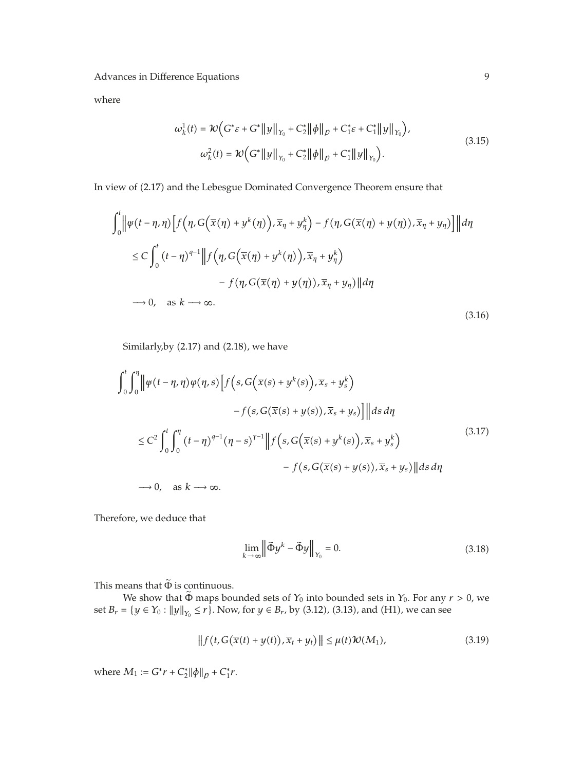where

$$
\omega_{k}^{1}(t) = \mathcal{W}\Big(G^{*}\varepsilon + G^{*} \|y\|_{Y_{0}} + C_{2}^{*} \|\phi\|_{p} + C_{1}^{*}\varepsilon + C_{1}^{*} \|y\|_{Y_{0}}\Big),
$$
  

$$
\omega_{k}^{2}(t) = \mathcal{W}\Big(G^{*} \|y\|_{Y_{0}} + C_{2}^{*} \|\phi\|_{p} + C_{1}^{*} \|y\|_{Y_{0}}\Big).
$$
 (3.15)

In view of 2.17 and the Lebesgue Dominated Convergence Theorem ensure that

$$
\int_{0}^{t} \left\| \psi(t - \eta, \eta) \left[ f(\eta, G(\overline{x}(\eta) + y^{k}(\eta)), \overline{x}_{\eta} + y^{k}_{\eta}) - f(\eta, G(\overline{x}(\eta) + y(\eta)), \overline{x}_{\eta} + y_{\eta}) \right] \right\| d\eta
$$
  
\n
$$
\leq C \int_{0}^{t} (t - \eta)^{q-1} \left\| f(\eta, G(\overline{x}(\eta) + y^{k}(\eta)), \overline{x}_{\eta} + y^{k}_{\eta}) - f(\eta, G(\overline{x}(\eta) + y(\eta)), \overline{x}_{\eta} + y_{\eta}) \right\| d\eta
$$
  
\n
$$
\to 0, \text{ as } k \to \infty.
$$
\n(3.16)

Similarly, by  $(2.17)$  and  $(2.18)$ , we have

$$
\int_{0}^{t} \int_{0}^{\eta} \left\| \psi(t - \eta, \eta) \psi(\eta, s) \left[ f(s, G(\overline{x}(s) + y^{k}(s)), \overline{x}_{s} + y_{s}^{k}) \right] - f(s, G(\overline{x}(s) + y(s)), \overline{x}_{s} + y_{s}) \right\| \left\| ds \, d\eta \right\|
$$
  

$$
\leq C^{2} \int_{0}^{t} \int_{0}^{\eta} (t - \eta)^{q-1} (\eta - s)^{\gamma - 1} \left\| f(s, G(\overline{x}(s) + y^{k}(s)), \overline{x}_{s} + y_{s}^{k}) \right\| ds \, d\eta
$$
  

$$
\to 0, \quad \text{as } k \to \infty.
$$
  

$$
(3.17)
$$

Therefore, we deduce that

$$
\lim_{k \to \infty} \left\| \tilde{\Phi} y^k - \tilde{\Phi} y \right\|_{Y_0} = 0. \tag{3.18}
$$

This means that  $\tilde{\Phi}$  is continuous.

We show that  $\tilde{\Phi}$  maps bounded sets of  $Y_0$  into bounded sets in  $Y_0$ . For any  $r > 0$ , we set  $B_r = \{y \in Y_0 : ||y||_{Y_0} \le r\}$ . Now, for  $y \in B_r$ , by (3.12), (3.13), and (H1), we can see

$$
\|f(t, G(\overline{x}(t) + y(t)), \overline{x}_t + y_t)\| \leq \mu(t)\mathcal{W}(M_1),
$$
\n(3.19)

where  $M_1 := G^* r + C_2^* ||\phi||_p + C_1^* r$ .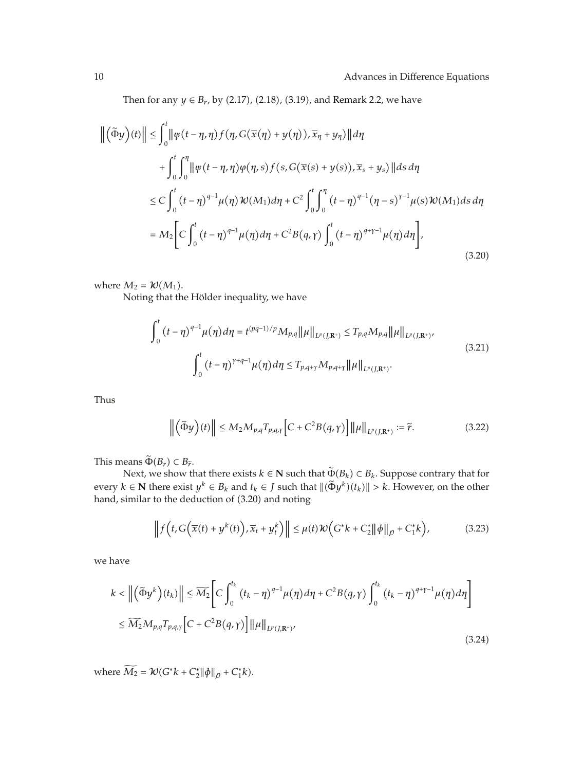Then for any  $y \in B_r$ , by (2.17), (2.18), (3.19), and Remark 2.2, we have

$$
\left\| \left( \tilde{\Phi} y \right)(t) \right\| \leq \int_0^t \left\| \varphi(t - \eta, \eta) f(\eta, G(\overline{x}(\eta) + y(\eta)), \overline{x}_\eta + y_\eta) \right\| d\eta
$$
  
+ 
$$
\int_0^t \int_0^{\eta} \left\| \varphi(t - \eta, \eta) \varphi(\eta, s) f(s, G(\overline{x}(s) + y(s)), \overline{x}_s + y_s) \right\| ds d\eta
$$
  

$$
\leq C \int_0^t (t - \eta)^{q-1} \mu(\eta) \mathcal{W}(M_1) d\eta + C^2 \int_0^t \int_0^{\eta} (t - \eta)^{q-1} (\eta - s)^{r-1} \mu(s) \mathcal{W}(M_1) ds d\eta
$$
  
= 
$$
M_2 \bigg[ C \int_0^t (t - \eta)^{q-1} \mu(\eta) d\eta + C^2 B(q, \gamma) \int_0^t (t - \eta)^{q+\gamma-1} \mu(\eta) d\eta \bigg],
$$
(3.20)

where  $M_2 = \mathcal{W}(M_1)$ .

Noting that the Hölder inequality, we have

$$
\int_{0}^{t} (t-\eta)^{q-1} \mu(\eta) d\eta = t^{(pq-1)/p} M_{p,q} ||\mu||_{L^{p}(J,\mathbf{R}^{+})} \le T_{p,q} M_{p,q} ||\mu||_{L^{p}(J,\mathbf{R}^{+})},
$$
\n
$$
\int_{0}^{t} (t-\eta)^{\gamma+q-1} \mu(\eta) d\eta \le T_{p,q+\gamma} M_{p,q+\gamma} ||\mu||_{L^{p}(J,\mathbf{R}^{+})}.
$$
\n(3.21)

Thus

$$
\left\| \left( \tilde{\Phi} y \right) (t) \right\| \le M_2 M_{p,q} T_{p,q,\gamma} \left[ C + C^2 B(q,\gamma) \right] \left\| \mu \right\|_{L^p(J, \mathbb{R}^+)} := \tilde{r}.
$$
 (3.22)

This means  $\Phi(B_r) \subset B_{\tilde{r}}$ .

Next, we show that there exists  $k \in \mathbb{N}$  such that  $\Phi(B_k) \subset B_k$ . Suppose contrary that for every  $k \in \mathbb{N}$  there exist  $y^k \in B_k$  and  $t_k \in J$  such that  $\|(\Phi y^k)(t_k)\| > k$ . However, on the other hand, similar to the deduction of (3.20) and noting

$$
\left\|f\left(t,G\left(\overline{x}(t)+y^k(t)\right),\overline{x}_t+y_t^k\right)\right\| \leq \mu(t)\mathcal{W}\left(G^*k+C_2^*\|\phi\|_p+C_1^*k\right),\tag{3.23}
$$

we have

$$
k < \left\| \left( \tilde{\Phi} y^k \right) (t_k) \right\| \le \widetilde{M_2} \Bigg[ C \int_0^{t_k} (t_k - \eta)^{q-1} \mu(\eta) d\eta + C^2 B(q, \gamma) \int_0^{t_k} (t_k - \eta)^{q+\gamma-1} \mu(\eta) d\eta \Bigg]
$$
  

$$
\le \widetilde{M_2} M_{p,q} T_{p,q,\gamma} \Big[ C + C^2 B(q, \gamma) \Big] \| \mu \|_{L^p(J, \mathbf{R}^+)} , \tag{3.24}
$$

where  $M_2 = \mathcal{W}(G^*k + C_2^*||\phi||_p + C_1^*k).$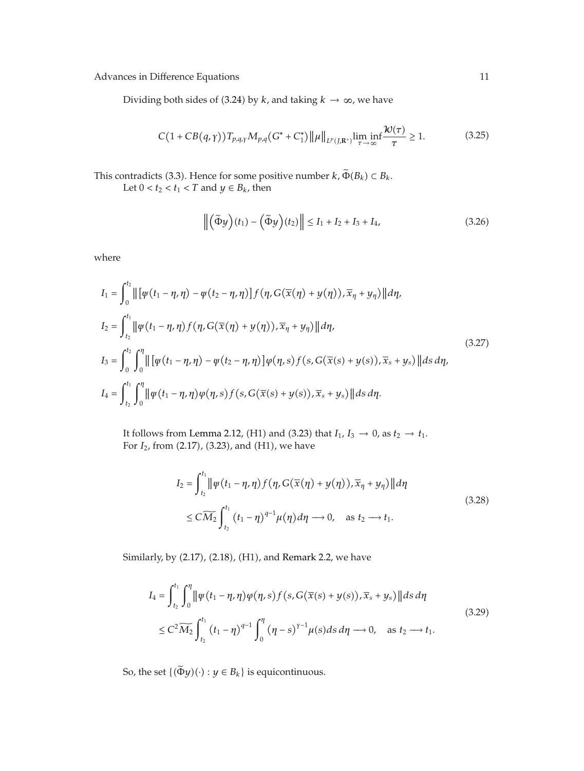Dividing both sides of (3.24) by *k*, and taking *k*  $\rightarrow \infty$ , we have

$$
C\big(1+CB(q,\gamma)\big)T_{p,q,\gamma}M_{p,q}\big(G^*+C_1^*\big)\big\|\mu\big\|_{L^p(J,\mathbb{R}^+)}\liminf_{\tau\to\infty}\frac{\mathcal{W}(\tau)}{\tau}\geq 1.\tag{3.25}
$$

This contradicts (3.3). Hence for some positive number  $k$ ,  $\tilde{\Phi}(B_k) \subset B_k$ .

Let  $0 < t_2 < t_1 < T$  and  $y \in B_k$ , then

$$
\left\| \left( \widetilde{\Phi} y \right) (t_1) - \left( \widetilde{\Phi} y \right) (t_2) \right\| \le I_1 + I_2 + I_3 + I_4,\tag{3.26}
$$

where

$$
I_{1} = \int_{0}^{t_{2}} || [\psi(t_{1} - \eta, \eta) - \psi(t_{2} - \eta, \eta)] f(\eta, G(\overline{x}(\eta) + y(\eta)), \overline{x}_{\eta} + y_{\eta}) || d\eta,
$$
  
\n
$$
I_{2} = \int_{t_{2}}^{t_{1}} || \psi(t_{1} - \eta, \eta) f(\eta, G(\overline{x}(\eta) + y(\eta)), \overline{x}_{\eta} + y_{\eta}) || d\eta,
$$
  
\n
$$
I_{3} = \int_{0}^{t_{2}} \int_{0}^{\eta} || [\psi(t_{1} - \eta, \eta) - \psi(t_{2} - \eta, \eta)] \varphi(\eta, s) f(s, G(\overline{x}(s) + y(s)), \overline{x}_{s} + y_{s}) || ds d\eta,
$$
  
\n
$$
I_{4} = \int_{t_{2}}^{t_{1}} \int_{0}^{\eta} || \psi(t_{1} - \eta, \eta) \varphi(\eta, s) f(s, G(\overline{x}(s) + y(s)), \overline{x}_{s} + y_{s}) || ds d\eta.
$$
  
\n(3.27)

It follows from Lemma 2.12, (H1) and (3.23) that  $I_1$ ,  $I_3 \rightarrow 0$ , as  $t_2 \rightarrow t_1$ . For *I*<sub>2</sub>, from (2.17), (3.23), and (H1), we have

$$
I_2 = \int_{t_2}^{t_1} \left\| \psi(t_1 - \eta, \eta) f(\eta, G(\overline{x}(\eta) + y(\eta)), \overline{x}_{\eta} + y_{\eta}) \right\| d\eta
$$
  
 
$$
\leq C \widetilde{M}_2 \int_{t_2}^{t_1} (t_1 - \eta)^{q-1} \mu(\eta) d\eta \longrightarrow 0, \quad \text{as } t_2 \longrightarrow t_1.
$$
 (3.28)

Similarly, by (2.17), (2.18), (H1), and Remark 2.2, we have

$$
I_{4} = \int_{t_{2}}^{t_{1}} \int_{0}^{\eta} \left\| \psi(t_{1} - \eta, \eta) \phi(\eta, s) f(s, G(\overline{x}(s) + y(s)), \overline{x}_{s} + y_{s}) \right\| ds d\eta
$$
  
 
$$
\leq C^{2} \widetilde{M}_{2} \int_{t_{2}}^{t_{1}} (t_{1} - \eta)^{q-1} \int_{0}^{\eta} (\eta - s)^{\gamma-1} \mu(s) ds d\eta \longrightarrow 0, \text{ as } t_{2} \longrightarrow t_{1}.
$$
 (3.29)

So, the set  $\{(\tilde{\Phi}y)(\cdot): y \in B_k\}$  is equicontinuous.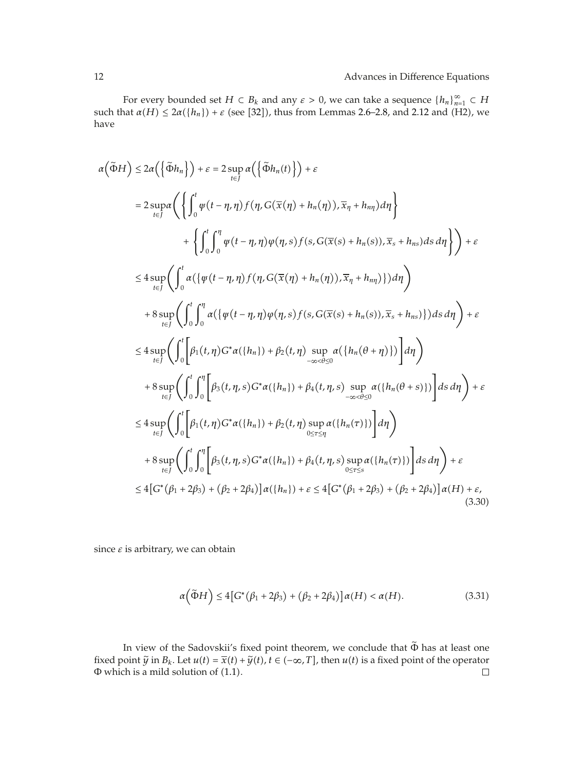For every bounded set  $H \subset B_k$  and any  $\varepsilon > 0$ , we can take a sequence  $\{h_n\}_{n=1}^{\infty} \subset H$ such that  $\alpha(H) \leq 2\alpha({h_n}) + \varepsilon$  (see [32]), thus from Lemmas 2.6–2.8, and 2.12 and (H2), we have

$$
\alpha(\tilde{\Phi}H) \leq 2\alpha \left( \left\{ \tilde{\Phi}h_n \right\} \right) + \varepsilon = 2 \sup_{t \in J} \alpha \left( \left\{ \tilde{\Phi}h_n(t) \right\} \right) + \varepsilon
$$
\n
$$
= 2 \sup_{t \in J} \alpha \left( \left\{ \int_0^t \psi(t - \eta, \eta) f(\eta, G(\overline{x}(\eta) + h_n(\eta)), \overline{x}_\eta + h_{n\eta}) d\eta \right\} + \left\{ \int_0^t \int_0^{\eta} \psi(t - \eta, \eta) \psi(\eta, s) f(s, G(\overline{x}(s) + h_n(s)), \overline{x}_s + h_{n\varsigma}) ds d\eta \right\} \right) + \varepsilon
$$
\n
$$
\leq 4 \sup_{t \in J} \left( \int_0^t \alpha (\left\{ \psi(t - \eta, \eta) f(\eta, G(\overline{x}(\eta) + h_n(\eta)), \overline{x}_\eta + h_{n\eta}) \right\}) d\eta \right)
$$
\n
$$
+ 8 \sup_{t \in J} \left( \int_0^t \int_0^{\eta} \alpha (\left\{ \psi(t - \eta, \eta) \psi(\eta, s) f(s, G(\overline{x}(s) + h_n(s)), \overline{x}_s + h_{n\varsigma}) \right\} ds d\eta \right) + \varepsilon
$$
\n
$$
\leq 4 \sup_{t \in J} \left( \int_0^t \int_0^{\eta} \alpha (\left\{ \psi(t - \eta, \eta) \psi(\eta, s) f(s, G(\overline{x}(s) + h_n(s)), \overline{x}_s + h_{n\varsigma}) \right\} ds d\eta \right) + \varepsilon
$$
\n
$$
\leq 4 \sup_{t \in J} \left( \int_0^t \int_0^{\eta} \left[ \beta_1(t, \eta) G^* \alpha(\{h_n\}) + \beta_2(t, \eta) \sup_{-\infty < \theta \leq 0} \alpha(\{h_n(\theta + \eta)\}) \right] d\eta \right)
$$
\n
$$
+ 8 \sup_{t \in J} \left( \int_0^t \int_0^{\eta} \left[ \beta_3(t, \eta, s) G^* \alpha(\{h_n\}) + \beta_4(t, \eta, s) \sup_{0 \leq \tau \leq \eta} \alpha
$$

since *ε* is arbitrary, we can obtain

$$
\alpha\big(\widetilde{\Phi}H\big) \le 4\big[G^*\big(\beta_1 + 2\beta_3\big) + \big(\beta_2 + 2\beta_4\big)\big]\alpha(H) < \alpha(H). \tag{3.31}
$$

In view of the Sadovskii's fixed point theorem, we conclude that  $\tilde{\Phi}$  has at least one fixed point  $\tilde{y}$  in  $B_k$ . Let  $u(t) = \overline{x}(t) + \tilde{y}(t)$ ,  $t \in (-\infty, T]$ , then  $u(t)$  is a fixed point of the operator  $\Phi$  which is a mild solution of (1.1).  $\Phi$  which is a mild solution of (1.1).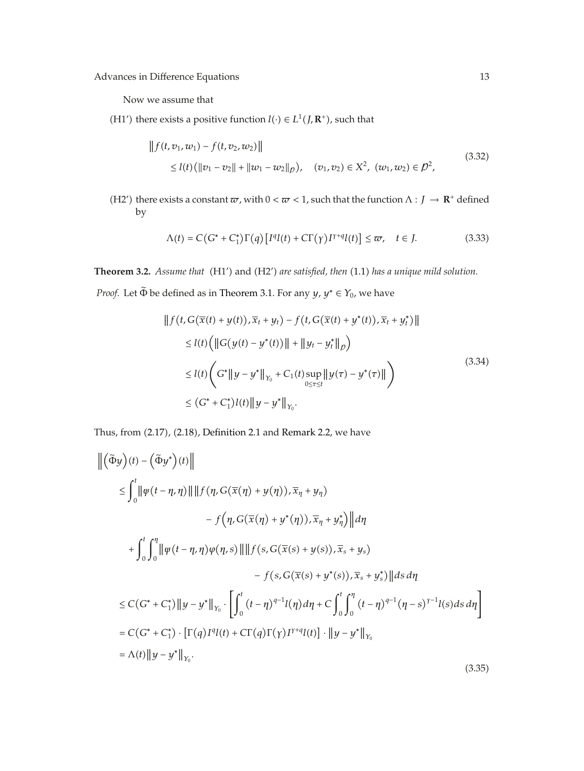Now we assume that

(H1<sup>'</sup>) there exists a positive function *l*(⋅) ∈ *L*<sup>1</sup>(*J*, **R**<sup>+</sup>), such that

$$
|| f(t, v_1, w_1) - f(t, v_2, w_2)||
$$
  
\n
$$
\leq l(t) (||v_1 - v_2|| + ||w_1 - w_2||_p), \quad (v_1, v_2) \in X^2, \quad (w_1, w_2) \in \mathcal{D}^2,
$$
\n
$$
(3.32)
$$

(H2') there exists a constant  $\varpi$ , with  $0 < \varpi < 1$ , such that the function  $\Lambda : J \to \mathbb{R}^+$  defined by

$$
\Lambda(t) = C\big(G^* + C_1^*\big)\Gamma\big(q\big)\big[I^q l(t) + C\Gamma\big(\gamma\big)I^{\gamma+q} l(t)\big] \leq \varpi, \quad t \in J. \tag{3.33}
$$

Theorem 3.2. *Assume that* (H1') and (H2') are satisfied, then (1.1) has a unique mild solution.

*Proof.* Let  $\tilde{\Phi}$  be defined as in Theorem 3.1. For any *y*,  $y^* \in Y_0$ , we have

$$
|| f(t, G(\overline{x}(t) + y(t)), \overline{x}_t + y_t) - f(t, G(\overline{x}(t) + y^*(t)), \overline{x}_t + y_t^*)||
$$
  
\n
$$
\leq l(t) (||G(y(t) - y^*(t))|| + ||y_t - y_t^*||_p)
$$
  
\n
$$
\leq l(t) (G^*||y - y^*||_{Y_0} + C_1(t) \sup_{0 \leq \tau \leq t} ||y(\tau) - y^*(\tau)||)
$$
  
\n
$$
\leq (G^* + C_1^*)l(t) ||y - y^*||_{Y_0}.
$$
\n(3.34)

Thus, from  $(2.17)$ ,  $(2.18)$ , Definition 2.1 and Remark 2.2, we have

$$
\begin{aligned}\n\left\| \left( \tilde{\Phi} y \right) (t) - \left( \tilde{\Phi} y^* \right) (t) \right\| \\
&\leq \int_0^t \left\| \psi \left( t - \eta, \eta \right) \right\| \left\| f \left( \eta, G(\overline{x}(\eta) + y(\eta)), \overline{x}_{\eta} + y_{\eta} \right) \right. \\
&\quad \left. - f \left( \eta, G(\overline{x}(\eta) + y^* (\eta)), \overline{x}_{\eta} + y_{\eta}^* \right) \right\| d\eta \\
&\quad + \int_0^t \int_0^{\eta} \left\| \psi \left( t - \eta, \eta \right) \varphi (\eta, s) \right\| \left\| f \left( s, G(\overline{x}(s) + y(s)), \overline{x}_s + y_s \right) \right. \\
&\quad \left. - f \left( s, G(\overline{x}(s) + y^*(s)), \overline{x}_s + y_s^* \right) \right\| ds d\eta \\
&\leq C \left( G^* + C_1^* \right) \left\| y - y^* \right\|_{Y_0} \cdot \left[ \int_0^t (t - \eta)^{q-1} I(\eta) d\eta + C \int_0^t \int_0^{\eta} (t - \eta)^{q-1} (\eta - s)^{Y-1} I(s) ds d\eta \right] \\
&= C \left( G^* + C_1^* \right) \cdot \left[ \Gamma(q) I^q I(t) + C \Gamma(q) \Gamma(\gamma) I^{r+q} I(t) \right] \cdot \left\| y - y^* \right\|_{Y_0} \\
&= \Lambda(t) \left\| y - y^* \right\|_{Y_0}.\n\end{aligned} \tag{3.35}
$$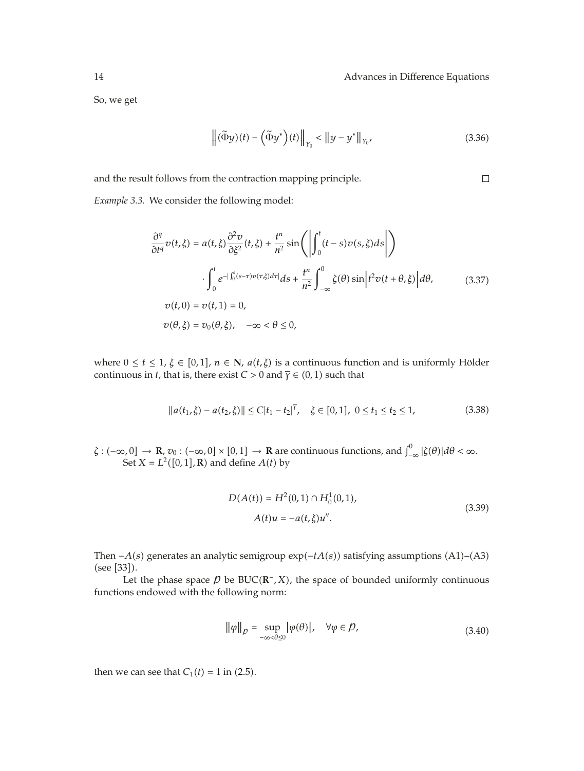$\Box$ 

So, we get

$$
\left\| \left( \widetilde{\Phi} y \right)(t) - \left( \widetilde{\Phi} y^* \right)(t) \right\|_{Y_0} < \left\| y - y^* \right\|_{Y_0},\tag{3.36}
$$

and the result follows from the contraction mapping principle.

*Example 3.3.* We consider the following model:

$$
\frac{\partial^q}{\partial t^q} v(t,\xi) = a(t,\xi) \frac{\partial^2 v}{\partial \xi^2} (t,\xi) + \frac{t^n}{n^2} \sin\left(\left|\int_0^t (t-s)v(s,\xi)ds\right|\right)
$$

$$
\cdot \int_0^t e^{-\int_0^s (s-\tau)v(\tau,\xi)d\tau} ds + \frac{t^n}{n^2} \int_{-\infty}^0 \zeta(\theta) \sin\left|t^2 v(t+\theta,\xi)\right| d\theta,
$$

$$
v(t,0) = v(t,1) = 0,
$$

$$
v(\theta,\xi) = v_0(\theta,\xi), \quad -\infty < \theta \le 0,
$$

where  $0 \le t \le 1$ ,  $\xi \in [0,1]$ ,  $n \in \mathbb{N}$ ,  $a(t,\xi)$  is a continuous function and is uniformly Hölder continuous in *t*, that is, there exist *C* > 0 and  $\overline{\gamma}$  ∈ (0, 1) such that

$$
||a(t_1,\xi) - a(t_2,\xi)|| \le C|t_1 - t_2|^{\overline{Y}}, \quad \xi \in [0,1], \ 0 \le t_1 \le t_2 \le 1,
$$
\n(3.38)

 $\zeta : (-\infty, 0] \to \mathbb{R}, v_0 : (-\infty, 0] \times [0, 1] \to \mathbb{R}$  are continuous functions, and  $\int_{-\infty}^0 |\zeta(\theta)| d\theta < \infty$ . Set  $X = L^2([0,1], \mathbf{R})$  and define  $A(t)$  by

$$
D(A(t)) = H2(0,1) \cap H01(0,1),
$$
  
 
$$
A(t)u = -a(t,\xi)u''.
$$
 (3.39)

Then  $-A(s)$  generates an analytic semigroup exp $(-tA(s))$  satisfying assumptions  $(A1)$ – $(A3)$  $(see [33]).$ 

Let the phase space  $\beta$  be BUC( $\mathbb{R}^-$ *, X*), the space of bounded uniformly continuous functions endowed with the following norm:

$$
\|\varphi\|_{p} = \sup_{-\infty < \theta \le 0} |\varphi(\theta)|, \quad \forall \varphi \in p,\tag{3.40}
$$

then we can see that  $C_1(t) = 1$  in (2.5).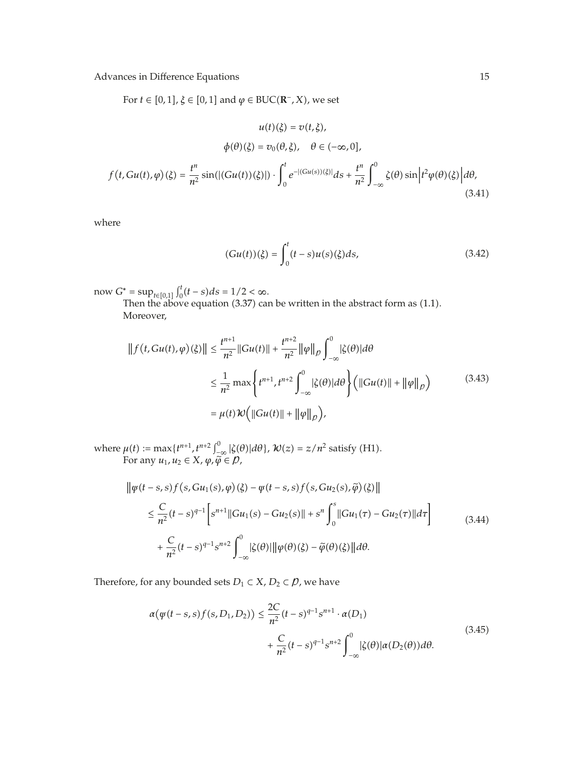For  $t \in [0, 1]$ ,  $\xi \in [0, 1]$  and  $\varphi \in BUC(\mathbb{R}^-, X)$ , we set

$$
u(t)(\xi) = v(t, \xi),
$$
  

$$
\phi(\theta)(\xi) = v_0(\theta, \xi), \quad \theta \in (-\infty, 0],
$$
  

$$
f(t, Gu(t), \varphi)(\xi) = \frac{t^n}{n^2} \sin(|(Gu(t))(\xi)|) \cdot \int_0^t e^{-|(Gu(s))(\xi)|} ds + \frac{t^n}{n^2} \int_{-\infty}^0 \zeta(\theta) \sin\left(t^2 \varphi(\theta)(\xi)\right) d\theta,
$$
  
(3.41)

where

$$
(Gu(t))(\xi) = \int_0^t (t - s)u(s)(\xi)ds,
$$
\n(3.42)

 $\text{now } G^* = \sup_{t \in [0,1]} \int_0^t (t-s) ds = 1/2 < \infty.$ 

Then the above equation  $(3.37)$  can be written in the abstract form as  $(1.1)$ . Moreover,

$$
|| f(t, Gu(t), \varphi)(\xi) || \le \frac{t^{n+1}}{n^2} ||Gu(t)|| + \frac{t^{n+2}}{n^2} ||\varphi||_{\rho} \int_{-\infty}^0 |\zeta(\theta)| d\theta
$$
  

$$
\le \frac{1}{n^2} \max \left\{ t^{n+1}, t^{n+2} \int_{-\infty}^0 |\zeta(\theta)| d\theta \right\} \left( ||Gu(t)|| + ||\varphi||_{\rho} \right) \tag{3.43}
$$
  

$$
= \mu(t) \mathcal{W} \left( ||Gu(t)|| + ||\varphi||_{\rho} \right),
$$

where  $\mu(t) := \max\{t^{n+1}, t^{n+2} \int_{-\infty}^0 |\zeta(\theta)| d\theta\}$ ,  $\mathcal{W}(z) = z/n^2$  satisfy (H1). For any  $u_1, u_2 \in X$ ,  $\varphi, \widetilde{\varphi} \in \mathcal{D}$ ,

$$
\|\varphi(t-s,s)f(s,Gu_1(s),\varphi)(\xi) - \varphi(t-s,s)f(s,Gu_2(s),\tilde{\varphi})(\xi)\|
$$
  

$$
\leq \frac{C}{n^2}(t-s)^{q-1} \left[s^{n+1}||Gu_1(s) - Gu_2(s)|| + s^n \int_0^s ||Gu_1(\tau) - Gu_2(\tau)||d\tau \right]
$$
  

$$
+ \frac{C}{n^2}(t-s)^{q-1} s^{n+2} \int_{-\infty}^0 |\zeta(\theta)||\|\varphi(\theta)(\xi) - \tilde{\varphi}(\theta)(\xi)\|d\theta.
$$
 (3.44)

Therefore, for any bounded sets  $D_1 \subset X$ ,  $D_2 \subset \mathcal{D}$ , we have

$$
\alpha(\psi(t-s,s)f(s,D_1,D_2)) \leq \frac{2C}{n^2}(t-s)^{q-1}s^{n+1} \cdot \alpha(D_1) + \frac{C}{n^2}(t-s)^{q-1}s^{n+2}\int_{-\infty}^0 |\zeta(\theta)|\alpha(D_2(\theta))d\theta.
$$
\n(3.45)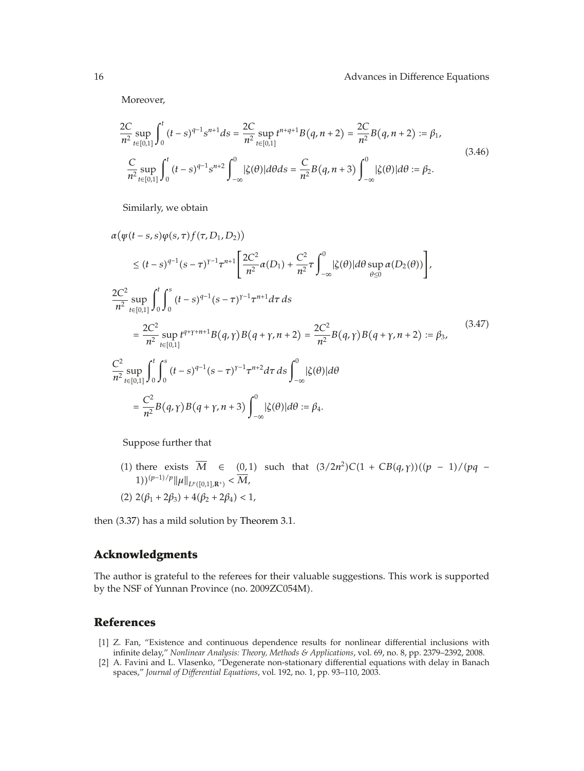Moreover,

$$
\frac{2C}{n^2} \sup_{t \in [0,1]} \int_0^t (t-s)^{q-1} s^{n+1} ds = \frac{2C}{n^2} \sup_{t \in [0,1]} t^{n+q+1} B(q, n+2) = \frac{2C}{n^2} B(q, n+2) := \beta_1,
$$
\n
$$
\frac{C}{n^2} \sup_{t \in [0,1]} \int_0^t (t-s)^{q-1} s^{n+2} \int_{-\infty}^0 |\zeta(\theta)| d\theta ds = \frac{C}{n^2} B(q, n+3) \int_{-\infty}^0 |\zeta(\theta)| d\theta := \beta_2.
$$
\n(3.46)

Similarly, we obtain

$$
\alpha(\psi(t-s,s)\varphi(s,\tau)f(\tau,D_1,D_2))
$$
\n
$$
\leq (t-s)^{q-1}(s-\tau)^{r-1}\tau^{n+1}\left[\frac{2C^2}{n^2}\alpha(D_1) + \frac{C^2}{n^2}\tau\int_{-\infty}^0|\zeta(\theta)|d\theta\sup_{\theta\leq 0}\alpha(D_2(\theta))\right],
$$
\n
$$
\frac{2C^2}{n^2}\sup_{t\in[0,1]}\int_0^t\int_0^s(t-s)^{q-1}(s-\tau)^{r-1}\tau^{n+1}d\tau ds
$$
\n
$$
=\frac{2C^2}{n^2}\sup_{t\in[0,1]}t^{q+\gamma+n+1}B(q,\gamma)B(q+\gamma,n+2) = \frac{2C^2}{n^2}B(q,\gamma)B(q+\gamma,n+2) := \beta_3,
$$
\n
$$
\frac{C^2}{n^2}\sup_{t\in[0,1]}\int_0^t\int_0^s(t-s)^{q-1}(s-\tau)^{r-1}\tau^{n+2}d\tau ds\int_{-\infty}^0|\zeta(\theta)|d\theta
$$
\n
$$
=\frac{C^2}{n^2}B(q,\gamma)B(q+\gamma,n+3)\int_{-\infty}^0|\zeta(\theta)|d\theta := \beta_4.
$$
\n(3.47)

Suppose further that

1) there exists  $\overline{M}$  ∈ (0,1) such that  $(3/2n^2)C(1 + CB(q, γ))((p − 1)/(pq − 1))$ *1)*)<sup>(*p*−1)/*p*<sub></sub> $\|\mu\|_{L^p([0,1],\mathbb{R}^+)}$  <  $\overline{M}$ ,</sup>

(2) 
$$
2(\beta_1 + 2\beta_3) + 4(\beta_2 + 2\beta_4) < 1
$$
,

then  $(3.37)$  has a mild solution by Theorem 3.1.

## **Acknowledgments**

The author is grateful to the referees for their valuable suggestions. This work is supported by the NSF of Yunnan Province (no. 2009ZC054M).

# **References**

- [1] Z. Fan, "Existence and continuous dependence results for nonlinear differential inclusions with infinite delay," *Nonlinear Analysis: Theory, Methods & Applications*, vol. 69, no. 8, pp. 2379–2392, 2008.
- [2] A. Favini and L. Vlasenko, "Degenerate non-stationary differential equations with delay in Banach spaces," *Journal of Differential Equations*, vol. 192, no. 1, pp. 93–110, 2003.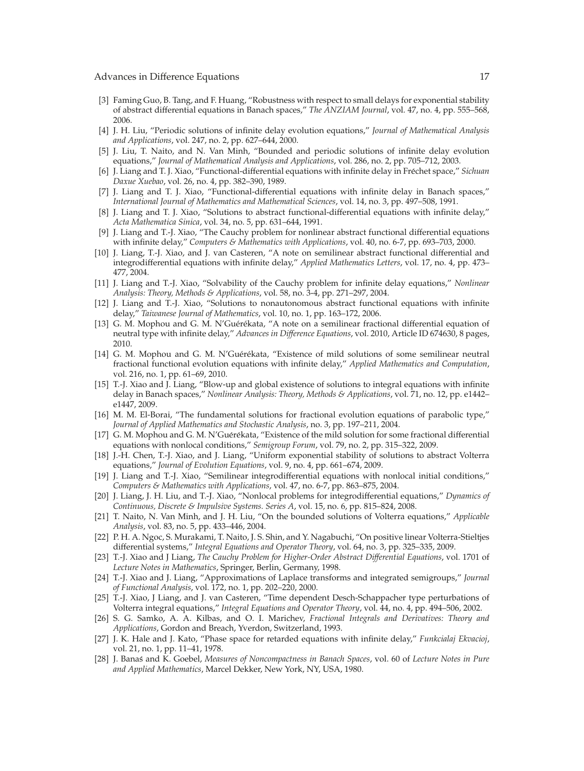- 3 Faming Guo, B. Tang, and F. Huang, "Robustness with respect to small delays for exponential stability of abstract differential equations in Banach spaces," *The ANZIAM Journal*, vol. 47, no. 4, pp. 555–568, 2006.
- 4 J. H. Liu, "Periodic solutions of infinite delay evolution equations," *Journal of Mathematical Analysis and Applications*, vol. 247, no. 2, pp. 627–644, 2000.
- 5 J. Liu, T. Naito, and N. Van Minh, "Bounded and periodic solutions of infinite delay evolution equations," *Journal of Mathematical Analysis and Applications*, vol. 286, no. 2, pp. 705–712, 2003.
- 6 J. Liang and T. J. Xiao, "Functional-differential equations with infinite delay in Frechet space," ´ *Sichuan Daxue Xuebao*, vol. 26, no. 4, pp. 382–390, 1989.
- [7] J. Liang and T. J. Xiao, "Functional-differential equations with infinite delay in Banach spaces," *International Journal of Mathematics and Mathematical Sciences*, vol. 14, no. 3, pp. 497–508, 1991.
- [8] J. Liang and T. J. Xiao, "Solutions to abstract functional-differential equations with infinite delay," *Acta Mathematica Sinica*, vol. 34, no. 5, pp. 631–644, 1991.
- 9 J. Liang and T.-J. Xiao, "The Cauchy problem for nonlinear abstract functional differential equations with infinite delay," *Computers & Mathematics with Applications*, vol. 40, no. 6-7, pp. 693–703, 2000.
- [10] J. Liang, T.-J. Xiao, and J. van Casteren, "A note on semilinear abstract functional differential and integrodifferential equations with infinite delay," *Applied Mathematics Letters*, vol. 17, no. 4, pp. 473– 477, 2004.
- 11 J. Liang and T.-J. Xiao, "Solvability of the Cauchy problem for infinite delay equations," *Nonlinear Analysis: Theory, Methods & Applications*, vol. 58, no. 3-4, pp. 271–297, 2004.
- 12 J. Liang and T.-J. Xiao, "Solutions to nonautonomous abstract functional equations with infinite delay," *Taiwanese Journal of Mathematics*, vol. 10, no. 1, pp. 163–172, 2006.
- [13] G. M. Mophou and G. M. N'Guérékata, "A note on a semilinear fractional differential equation of neutral type with infinite delay," *Advances in Difference Equations*, vol. 2010, Article ID 674630, 8 pages, 2010.
- [14] G. M. Mophou and G. M. N'Guérékata, "Existence of mild solutions of some semilinear neutral fractional functional evolution equations with infinite delay," *Applied Mathematics and Computation*, vol. 216, no. 1, pp. 61–69, 2010.
- 15 T.-J. Xiao and J. Liang, "Blow-up and global existence of solutions to integral equations with infinite delay in Banach spaces," *Nonlinear Analysis: Theory, Methods & Applications*, vol. 71, no. 12, pp. e1442– e1447, 2009.
- [16] M. M. El-Borai, "The fundamental solutions for fractional evolution equations of parabolic type," *Journal of Applied Mathematics and Stochastic Analysis*, no. 3, pp. 197–211, 2004.
- [17] G. M. Mophou and G. M. N'Guérékata, "Existence of the mild solution for some fractional differential equations with nonlocal conditions," *Semigroup Forum*, vol. 79, no. 2, pp. 315–322, 2009.
- [18] J.-H. Chen, T.-J. Xiao, and J. Liang, "Uniform exponential stability of solutions to abstract Volterra equations," *Journal of Evolution Equations*, vol. 9, no. 4, pp. 661–674, 2009.
- 19 J. Liang and T.-J. Xiao, "Semilinear integrodifferential equations with nonlocal initial conditions," *Computers & Mathematics with Applications*, vol. 47, no. 6-7, pp. 863–875, 2004.
- 20 J. Liang, J. H. Liu, and T.-J. Xiao, "Nonlocal problems for integrodifferential equations," *Dynamics of Continuous, Discrete & Impulsive Systems. Series A*, vol. 15, no. 6, pp. 815–824, 2008.
- 21 T. Naito, N. Van Minh, and J. H. Liu, "On the bounded solutions of Volterra equations," *Applicable Analysis*, vol. 83, no. 5, pp. 433–446, 2004.
- 22 P. H. A. Ngoc, S. Murakami, T. Naito, J. S. Shin, and Y. Nagabuchi, "On positive linear Volterra-Stieltjes differential systems," *Integral Equations and Operator Theory*, vol. 64, no. 3, pp. 325–335, 2009.
- 23 T.-J. Xiao and J Liang, *The Cauchy Problem for Higher-Order Abstract Differential Equations*, vol. 1701 of *Lecture Notes in Mathematics*, Springer, Berlin, Germany, 1998.
- 24 T.-J. Xiao and J. Liang, "Approximations of Laplace transforms and integrated semigroups," *Journal of Functional Analysis*, vol. 172, no. 1, pp. 202–220, 2000.
- [25] T.-J. Xiao, J Liang, and J. van Casteren, "Time dependent Desch-Schappacher type perturbations of Volterra integral equations," *Integral Equations and Operator Theory*, vol. 44, no. 4, pp. 494–506, 2002.
- 26 S. G. Samko, A. A. Kilbas, and O. I. Marichev, *Fractional Integrals and Derivatives: Theory and Applications*, Gordon and Breach, Yverdon, Switzerland, 1993.
- 27 J. K. Hale and J. Kato, "Phase space for retarded equations with infinite delay," *Funkcialaj Ekvacioj*, vol. 21, no. 1, pp. 11–41, 1978.
- [28] J. Banas and K. Goebel, Measures of Noncompactness in Banach Spaces, vol. 60 of Lecture Notes in Pure *and Applied Mathematics*, Marcel Dekker, New York, NY, USA, 1980.